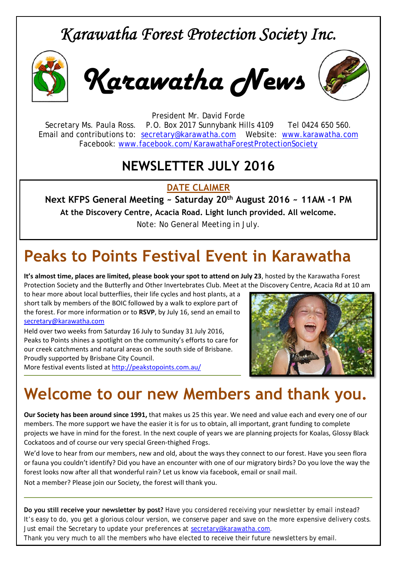#### *Karawatha Forest Protection Society Inc.*



*Karawatha News*



President Mr. David Forde Secretary Ms. Paula Ross. P.O. Box 2017 Sunnybank Hills 4109 Tel 0424 650 560. Email and contributions to: secretary@karawatha.com Website: www.karawatha.com Facebook: www.facebook.com/KarawathaForestProtectionSociety

#### **NEWSLETTER JULY 2016**

**DATE CLAIMER** 

**Next KFPS General Meeting ~ Saturday 20th August 2016 ~ 11AM -1 PM** 

**At the Discovery Centre, Acacia Road. Light lunch provided. All welcome.** 

*Note: No General Meeting in July.* 

## **Peaks to Points Festival Event in Karawatha**

**It's almost time, places are limited, please book your spot to attend on July 23**, hosted by the Karawatha Forest Protection Society and the Butterfly and Other Invertebrates Club. Meet at the Discovery Centre, Acacia Rd at 10 am

to hear more about local butterflies, their life cycles and host plants, at a short talk by members of the BOIC followed by a walk to explore part of the forest. For more information or to **RSVP**, by July 16, send an email to secretary@karawatha.com

Held over two weeks from Saturday 16 July to Sunday 31 July 2016, Peaks to Points shines a spotlight on the community's efforts to care for our creek catchments and natural areas on the south side of Brisbane. Proudly supported by Brisbane City Council.

More festival events listed at http://peakstopoints.com.au/



#### **Welcome to our new Members and thank you.**

**Our Society has been around since 1991,** that makes us 25 this year. We need and value each and every one of our members. The more support we have the easier it is for us to obtain, all important, grant funding to complete projects we have in mind for the forest. In the next couple of years we are planning projects for Koalas, Glossy Black Cockatoos and of course our very special Green‐thighed Frogs.

We'd love to hear from our members, new and old, about the ways they connect to our forest. Have you seen flora or fauna you couldn't identify? Did you have an encounter with one of our migratory birds? Do you love the way the forest looks now after all that wonderful rain? Let us know via facebook, email or snail mail.

Not a member? Please join our Society, the forest will thank you.

**Do you still receive your newsletter by post?** Have you considered receiving your newsletter by email instead? It's easy to do, you get a glorious colour version, we conserve paper and save on the more expensive delivery costs. Just email the Secretary to update your preferences at secretary@karawatha.com.

*Thank you very much* to all the members who have elected to receive their future newsletters by email.